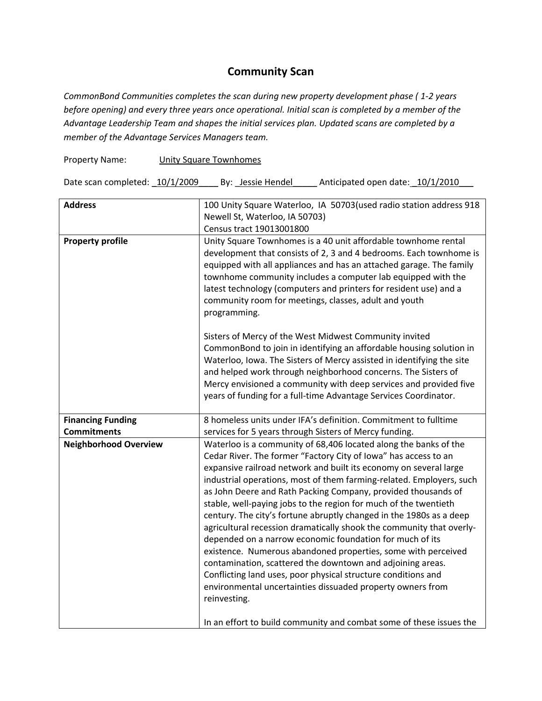## **Community Scan**

*CommonBond Communities completes the scan during new property development phase ( 1-2 years before opening) and every three years once operational. Initial scan is completed by a member of the Advantage Leadership Team and shapes the initial services plan. Updated scans are completed by a member of the Advantage Services Managers team.* 

Property Name: Unity Square Townhomes

Date scan completed:  $\frac{10}{12009}$  By: \_Jessie Hendel \_\_\_\_\_ Anticipated open date:  $\frac{10}{12010}$ 

| <b>Address</b>                                 | 100 Unity Square Waterloo, IA 50703 (used radio station address 918                                                                                                                                                                                                                                                                                                                                                                                                                                                                                                                                                                                                                                                                                                                                                                                                                                                                                                                   |
|------------------------------------------------|---------------------------------------------------------------------------------------------------------------------------------------------------------------------------------------------------------------------------------------------------------------------------------------------------------------------------------------------------------------------------------------------------------------------------------------------------------------------------------------------------------------------------------------------------------------------------------------------------------------------------------------------------------------------------------------------------------------------------------------------------------------------------------------------------------------------------------------------------------------------------------------------------------------------------------------------------------------------------------------|
|                                                | Newell St, Waterloo, IA 50703)                                                                                                                                                                                                                                                                                                                                                                                                                                                                                                                                                                                                                                                                                                                                                                                                                                                                                                                                                        |
|                                                | Census tract 19013001800                                                                                                                                                                                                                                                                                                                                                                                                                                                                                                                                                                                                                                                                                                                                                                                                                                                                                                                                                              |
| <b>Property profile</b>                        | Unity Square Townhomes is a 40 unit affordable townhome rental<br>development that consists of 2, 3 and 4 bedrooms. Each townhome is<br>equipped with all appliances and has an attached garage. The family<br>townhome community includes a computer lab equipped with the<br>latest technology (computers and printers for resident use) and a<br>community room for meetings, classes, adult and youth<br>programming.                                                                                                                                                                                                                                                                                                                                                                                                                                                                                                                                                             |
|                                                | Sisters of Mercy of the West Midwest Community invited<br>CommonBond to join in identifying an affordable housing solution in<br>Waterloo, Iowa. The Sisters of Mercy assisted in identifying the site<br>and helped work through neighborhood concerns. The Sisters of<br>Mercy envisioned a community with deep services and provided five<br>years of funding for a full-time Advantage Services Coordinator.                                                                                                                                                                                                                                                                                                                                                                                                                                                                                                                                                                      |
| <b>Financing Funding</b><br><b>Commitments</b> | 8 homeless units under IFA's definition. Commitment to fulltime<br>services for 5 years through Sisters of Mercy funding.                                                                                                                                                                                                                                                                                                                                                                                                                                                                                                                                                                                                                                                                                                                                                                                                                                                             |
| <b>Neighborhood Overview</b>                   | Waterloo is a community of 68,406 located along the banks of the<br>Cedar River. The former "Factory City of Iowa" has access to an<br>expansive railroad network and built its economy on several large<br>industrial operations, most of them farming-related. Employers, such<br>as John Deere and Rath Packing Company, provided thousands of<br>stable, well-paying jobs to the region for much of the twentieth<br>century. The city's fortune abruptly changed in the 1980s as a deep<br>agricultural recession dramatically shook the community that overly-<br>depended on a narrow economic foundation for much of its<br>existence. Numerous abandoned properties, some with perceived<br>contamination, scattered the downtown and adjoining areas.<br>Conflicting land uses, poor physical structure conditions and<br>environmental uncertainties dissuaded property owners from<br>reinvesting.<br>In an effort to build community and combat some of these issues the |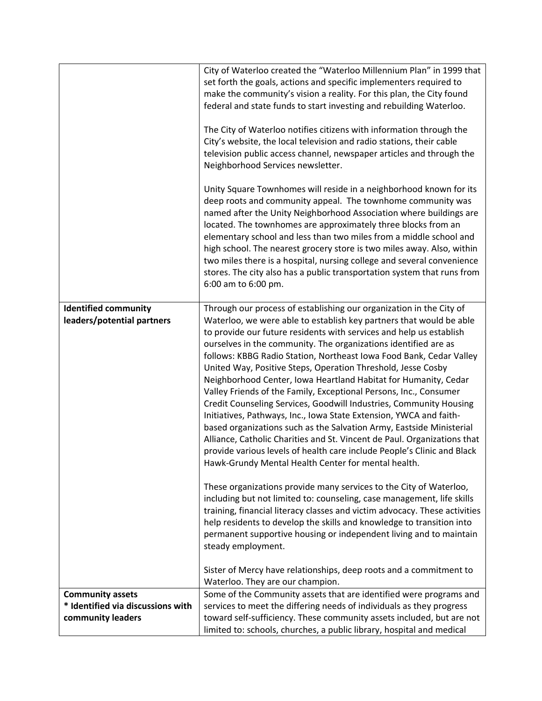|                                                                                   | City of Waterloo created the "Waterloo Millennium Plan" in 1999 that<br>set forth the goals, actions and specific implementers required to<br>make the community's vision a reality. For this plan, the City found<br>federal and state funds to start investing and rebuilding Waterloo.<br>The City of Waterloo notifies citizens with information through the<br>City's website, the local television and radio stations, their cable<br>television public access channel, newspaper articles and through the<br>Neighborhood Services newsletter.<br>Unity Square Townhomes will reside in a neighborhood known for its<br>deep roots and community appeal. The townhome community was<br>named after the Unity Neighborhood Association where buildings are<br>located. The townhomes are approximately three blocks from an<br>elementary school and less than two miles from a middle school and<br>high school. The nearest grocery store is two miles away. Also, within<br>two miles there is a hospital, nursing college and several convenience<br>stores. The city also has a public transportation system that runs from<br>6:00 am to 6:00 pm.                                                                                                                                                                                                                                                                                                                                                      |
|-----------------------------------------------------------------------------------|--------------------------------------------------------------------------------------------------------------------------------------------------------------------------------------------------------------------------------------------------------------------------------------------------------------------------------------------------------------------------------------------------------------------------------------------------------------------------------------------------------------------------------------------------------------------------------------------------------------------------------------------------------------------------------------------------------------------------------------------------------------------------------------------------------------------------------------------------------------------------------------------------------------------------------------------------------------------------------------------------------------------------------------------------------------------------------------------------------------------------------------------------------------------------------------------------------------------------------------------------------------------------------------------------------------------------------------------------------------------------------------------------------------------------------------------------------------------------------------------------------------------|
| <b>Identified community</b><br>leaders/potential partners                         | Through our process of establishing our organization in the City of<br>Waterloo, we were able to establish key partners that would be able<br>to provide our future residents with services and help us establish<br>ourselves in the community. The organizations identified are as<br>follows: KBBG Radio Station, Northeast Iowa Food Bank, Cedar Valley<br>United Way, Positive Steps, Operation Threshold, Jesse Cosby<br>Neighborhood Center, Iowa Heartland Habitat for Humanity, Cedar<br>Valley Friends of the Family, Exceptional Persons, Inc., Consumer<br>Credit Counseling Services, Goodwill Industries, Community Housing<br>Initiatives, Pathways, Inc., Iowa State Extension, YWCA and faith-<br>based organizations such as the Salvation Army, Eastside Ministerial<br>Alliance, Catholic Charities and St. Vincent de Paul. Organizations that<br>provide various levels of health care include People's Clinic and Black<br>Hawk-Grundy Mental Health Center for mental health.<br>These organizations provide many services to the City of Waterloo,<br>including but not limited to: counseling, case management, life skills<br>training, financial literacy classes and victim advocacy. These activities<br>help residents to develop the skills and knowledge to transition into<br>permanent supportive housing or independent living and to maintain<br>steady employment.<br>Sister of Mercy have relationships, deep roots and a commitment to<br>Waterloo. They are our champion. |
| <b>Community assets</b><br>* Identified via discussions with<br>community leaders | Some of the Community assets that are identified were programs and<br>services to meet the differing needs of individuals as they progress<br>toward self-sufficiency. These community assets included, but are not<br>limited to: schools, churches, a public library, hospital and medical                                                                                                                                                                                                                                                                                                                                                                                                                                                                                                                                                                                                                                                                                                                                                                                                                                                                                                                                                                                                                                                                                                                                                                                                                       |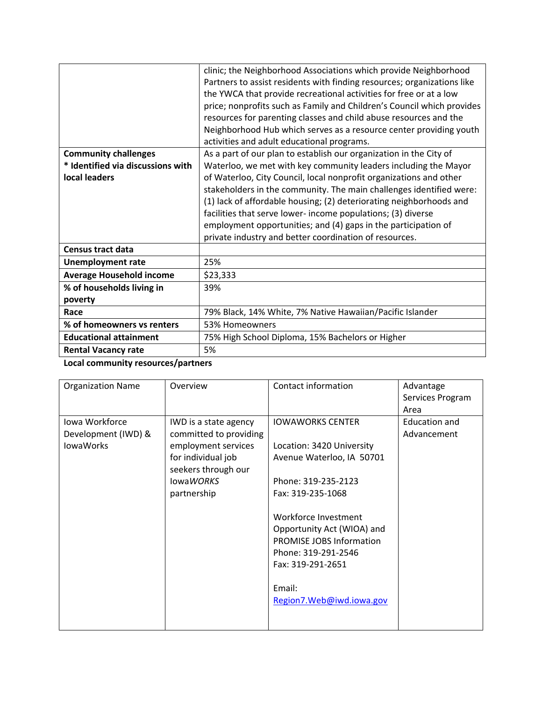|                                   | clinic; the Neighborhood Associations which provide Neighborhood        |
|-----------------------------------|-------------------------------------------------------------------------|
|                                   | Partners to assist residents with finding resources; organizations like |
|                                   | the YWCA that provide recreational activities for free or at a low      |
|                                   | price; nonprofits such as Family and Children's Council which provides  |
|                                   | resources for parenting classes and child abuse resources and the       |
|                                   | Neighborhood Hub which serves as a resource center providing youth      |
|                                   | activities and adult educational programs.                              |
| <b>Community challenges</b>       | As a part of our plan to establish our organization in the City of      |
| * Identified via discussions with | Waterloo, we met with key community leaders including the Mayor         |
| local leaders                     | of Waterloo, City Council, local nonprofit organizations and other      |
|                                   | stakeholders in the community. The main challenges identified were:     |
|                                   | (1) lack of affordable housing; (2) deteriorating neighborhoods and     |
|                                   | facilities that serve lower- income populations; (3) diverse            |
|                                   | employment opportunities; and (4) gaps in the participation of          |
|                                   | private industry and better coordination of resources.                  |
| <b>Census tract data</b>          |                                                                         |
| <b>Unemployment rate</b>          | 25%                                                                     |
| <b>Average Household income</b>   | \$23,333                                                                |
| % of households living in         | 39%                                                                     |
| poverty                           |                                                                         |
| Race                              | 79% Black, 14% White, 7% Native Hawaiian/Pacific Islander               |
| % of homeowners vs renters        | 53% Homeowners                                                          |
| <b>Educational attainment</b>     | 75% High School Diploma, 15% Bachelors or Higher                        |
| <b>Rental Vacancy rate</b>        | 5%                                                                      |

**Local community resources/partners**

| <b>Organization Name</b> | Overview                         | Contact information             | Advantage        |
|--------------------------|----------------------------------|---------------------------------|------------------|
|                          |                                  |                                 | Services Program |
|                          |                                  |                                 | Area             |
| Iowa Workforce           | IWD is a state agency            | <b>IOWAWORKS CENTER</b>         | Education and    |
| Development (IWD) &      | committed to providing           |                                 | Advancement      |
| <b>lowaWorks</b>         | employment services              | Location: 3420 University       |                  |
|                          | for individual job               | Avenue Waterloo, IA 50701       |                  |
|                          | seekers through our<br>lowaWORKS | Phone: 319-235-2123             |                  |
|                          |                                  |                                 |                  |
|                          | partnership                      | Fax: 319-235-1068               |                  |
|                          |                                  | Workforce Investment            |                  |
|                          |                                  | Opportunity Act (WIOA) and      |                  |
|                          |                                  | <b>PROMISE JOBS Information</b> |                  |
|                          |                                  | Phone: 319-291-2546             |                  |
|                          |                                  | Fax: 319-291-2651               |                  |
|                          |                                  |                                 |                  |
|                          |                                  | Email:                          |                  |
|                          |                                  | Region7.Web@iwd.iowa.gov        |                  |
|                          |                                  |                                 |                  |
|                          |                                  |                                 |                  |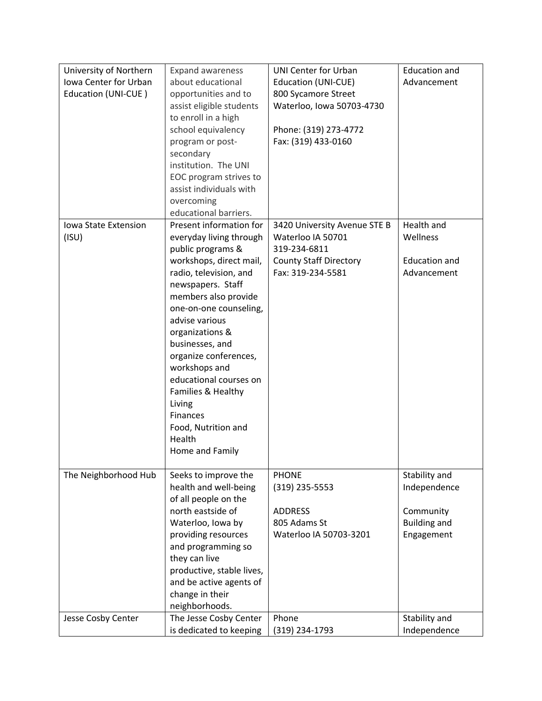| University of Northern | <b>Expand awareness</b>       | <b>UNI Center for Urban</b>   | <b>Education and</b> |
|------------------------|-------------------------------|-------------------------------|----------------------|
| Iowa Center for Urban  | about educational             | <b>Education (UNI-CUE)</b>    | Advancement          |
| Education (UNI-CUE)    | opportunities and to          | 800 Sycamore Street           |                      |
|                        | assist eligible students      | Waterloo, Iowa 50703-4730     |                      |
|                        | to enroll in a high           |                               |                      |
|                        | school equivalency            | Phone: (319) 273-4772         |                      |
|                        | program or post-              | Fax: (319) 433-0160           |                      |
|                        | secondary                     |                               |                      |
|                        | institution. The UNI          |                               |                      |
|                        | EOC program strives to        |                               |                      |
|                        | assist individuals with       |                               |                      |
|                        | overcoming                    |                               |                      |
|                        | educational barriers.         |                               |                      |
| Iowa State Extension   | Present information for       | 3420 University Avenue STE B  | Health and           |
| (ISU)                  | everyday living through       | Waterloo IA 50701             | Wellness             |
|                        | public programs &             | 319-234-6811                  |                      |
|                        | workshops, direct mail,       | <b>County Staff Directory</b> | <b>Education and</b> |
|                        | radio, television, and        | Fax: 319-234-5581             | Advancement          |
|                        | newspapers. Staff             |                               |                      |
|                        | members also provide          |                               |                      |
|                        | one-on-one counseling,        |                               |                      |
|                        | advise various                |                               |                      |
|                        | organizations &               |                               |                      |
|                        | businesses, and               |                               |                      |
|                        | organize conferences,         |                               |                      |
|                        | workshops and                 |                               |                      |
|                        | educational courses on        |                               |                      |
|                        | Families & Healthy            |                               |                      |
|                        | Living                        |                               |                      |
|                        | Finances                      |                               |                      |
|                        | Food, Nutrition and<br>Health |                               |                      |
|                        | Home and Family               |                               |                      |
|                        |                               |                               |                      |
| The Neighborhood Hub   | Seeks to improve the          | <b>PHONE</b>                  | Stability and        |
|                        | health and well-being         | $(319)$ 235-5553              | Independence         |
|                        | of all people on the          |                               |                      |
|                        | north eastside of             | <b>ADDRESS</b>                | Community            |
|                        | Waterloo, Iowa by             | 805 Adams St                  | <b>Building and</b>  |
|                        | providing resources           | Waterloo IA 50703-3201        | Engagement           |
|                        | and programming so            |                               |                      |
|                        | they can live                 |                               |                      |
|                        | productive, stable lives,     |                               |                      |
|                        | and be active agents of       |                               |                      |
|                        | change in their               |                               |                      |
|                        | neighborhoods.                |                               |                      |
| Jesse Cosby Center     | The Jesse Cosby Center        | Phone                         | Stability and        |
|                        | is dedicated to keeping       | (319) 234-1793                | Independence         |